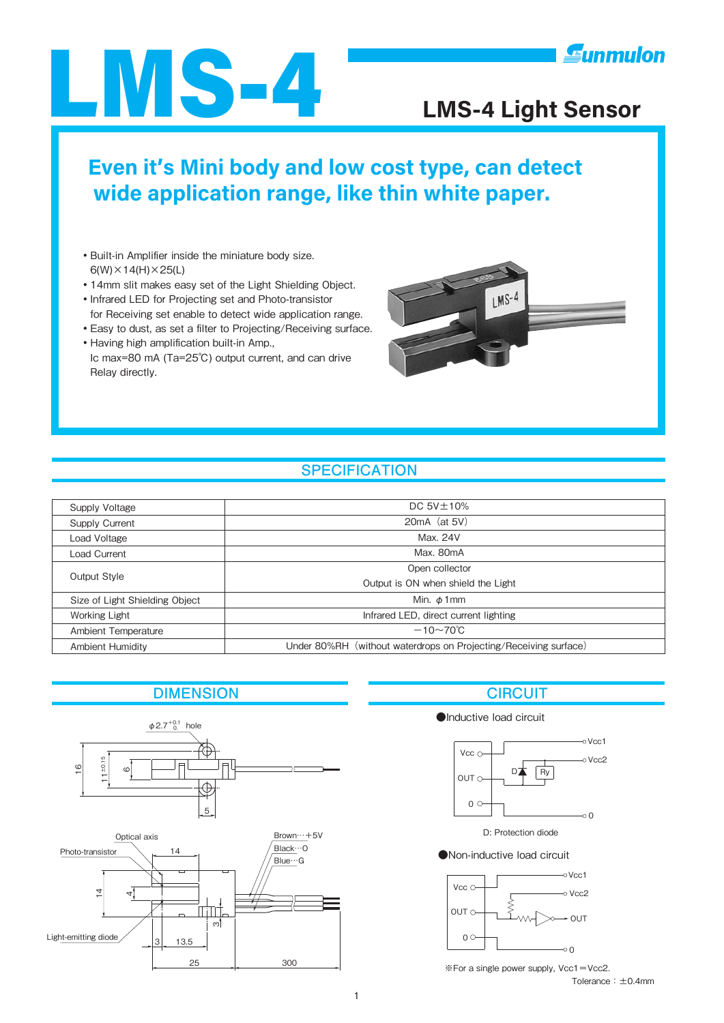

# **Even it's Mini body and low cost type, can detect wide application range, like thin white paper.**

- •Built-in Amplifier inside the miniature body size.  $6(W) \times 14(H) \times 25(L)$
- ・14mm slit makes easy set of the Light Shielding Object.
- ・Infrared LED for Projecting set and Photo-transistor for Receiving set enable to detect wide application range.
- ・Easy to dust, as set a filter to Projecting/Receiving surface.
- ・Having high amplification built-in Amp., Ic max=80 mA (Ta=25℃) output current, and can drive Relay directly.



### **SPECIFICATION**

| Supply Voltage                 | DC $5V \pm 10\%$                                                 |
|--------------------------------|------------------------------------------------------------------|
| Supply Current                 | $20mA$ (at 5V)                                                   |
| Load Voltage                   | Max. 24V                                                         |
| Load Current                   | Max. 80mA                                                        |
| Output Style                   | Open collector                                                   |
|                                | Output is ON when shield the Light                               |
| Size of Light Shielding Object | Min. $\phi$ 1 mm                                                 |
| Working Light                  | Infrared LED, direct current lighting                            |
| Ambient Temperature            | $-10\sim70^{\circ}$ C                                            |
| <b>Ambient Humidity</b>        | Under 80%RH (without waterdrops on Projecting/Receiving surface) |

### **DIMENSION CIRCUIT**



### ●Inductive load circuit



D: Protection diode

●Non-inductive load circuit



Tolerance:±0.4mm ※For a single power supply, Vcc1=Vcc2.